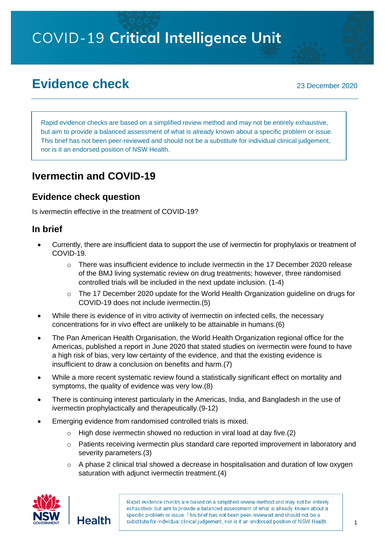# **COVID-19 Critical Intelligence Unit**

# **Evidence check** 2020

Rapid evidence checks are based on a simplified review method and may not be entirely exhaustive, but aim to provide a balanced assessment of what is already known about a specific problem or issue. This brief has not been peer-reviewed and should not be a substitute for individual clinical judgement, nor is it an endorsed position of NSW Health.

# **Ivermectin and COVID-19**

#### **Evidence check question**

Is ivermectin effective in the treatment of COVID-19?

#### **In brief**

- Currently, there are insufficient data to support the use of ivermectin for prophylaxis or treatment of COVID-19.
	- $\circ$  There was insufficient evidence to include ivermectin in the 17 December 2020 release of the BMJ living systematic review on drug treatments; however, three randomised controlled trials will be included in the next update inclusion. (1-4)
	- $\circ$  The 17 December 2020 update for the World Health Organization guideline on drugs for COVID-19 does not include ivermectin.(5)
- While there is evidence of in vitro activity of ivermectin on infected cells, the necessary concentrations for in vivo effect are unlikely to be attainable in humans.(6)
- The Pan American Health Organisation, the World Health Organization regional office for the Americas, published a report in June 2020 that stated studies on ivermectin were found to have a high risk of bias, very low certainty of the evidence, and that the existing evidence is insufficient to draw a conclusion on benefits and harm.(7)
- While a more recent systematic review found a statistically significant effect on mortality and symptoms, the quality of evidence was very low.(8)
- There is continuing interest particularly in the Americas, India, and Bangladesh in the use of ivermectin prophylactically and therapeutically.(9-12)
- Emerging evidence from randomised controlled trials is mixed.
	- $\circ$  High dose ivermectin showed no reduction in viral load at day five.(2)
	- o Patients receiving ivermectin plus standard care reported improvement in laboratory and severity parameters.(3)
	- o A phase 2 clinical trial showed a decrease in hospitalisation and duration of low oxygen saturation with adjunct ivermectin treatment.(4)

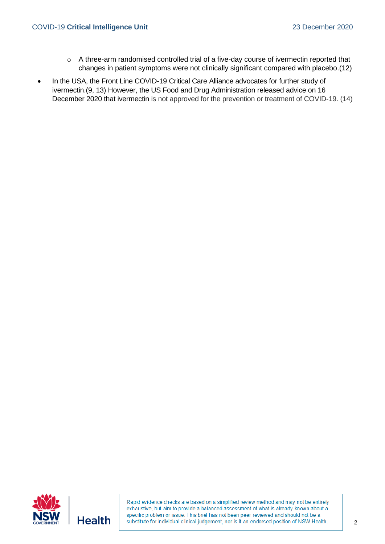- o A three-arm randomised controlled trial of a five-day course of ivermectin reported that changes in patient symptoms were not clinically significant compared with placebo.(12)
- In the USA, the Front Line COVID-19 Critical Care Alliance advocates for further study of ivermectin.(9, 13) However, the US Food and Drug Administration released advice on 16 December 2020 that ivermectin is not approved for the prevention or treatment of COVID-19. (14)

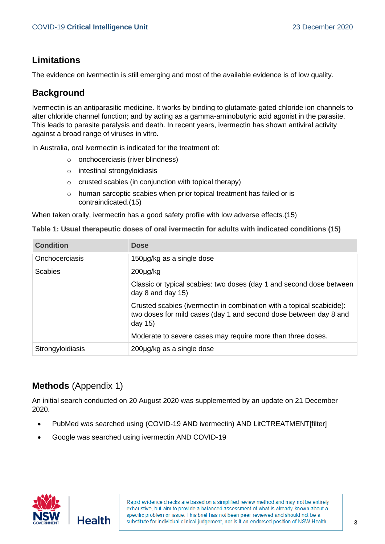## **Limitations**

The evidence on ivermectin is still emerging and most of the available evidence is of low quality.

## **Background**

Ivermectin is an antiparasitic medicine. It works by binding to glutamate-gated chloride ion channels to alter chloride channel function; and by acting as a gamma-aminobutyric acid agonist in the parasite. This leads to parasite paralysis and death. In recent years, ivermectin has shown antiviral activity against a broad range of viruses in vitro.

In Australia, oral ivermectin is indicated for the treatment of:

- o onchocerciasis (river blindness)
- o intestinal strongyloidiasis
- o crusted scabies (in conjunction with topical therapy)
- o human sarcoptic scabies when prior topical treatment has failed or is contraindicated.(15)

When taken orally, ivermectin has a good safety profile with low adverse effects.(15)

| Table 1: Usual therapeutic doses of oral ivermectin for adults with indicated conditions (15) |  |  |
|-----------------------------------------------------------------------------------------------|--|--|
|-----------------------------------------------------------------------------------------------|--|--|

| <b>Condition</b> | <b>Dose</b>                                                                                                                                              |
|------------------|----------------------------------------------------------------------------------------------------------------------------------------------------------|
| Onchocerciasis   | 150µg/kg as a single dose                                                                                                                                |
| <b>Scabies</b>   | $200 \mu g/kg$                                                                                                                                           |
|                  | Classic or typical scabies: two doses (day 1 and second dose between<br>day $8$ and day $15$ )                                                           |
|                  | Crusted scabies (ivermectin in combination with a topical scabicide):<br>two doses for mild cases (day 1 and second dose between day 8 and<br>day $15$ ) |
|                  | Moderate to severe cases may require more than three doses.                                                                                              |
| Strongyloidiasis | 200µg/kg as a single dose                                                                                                                                |

# **Methods** (Appendix 1)

An initial search conducted on 20 August 2020 was supplemented by an update on 21 December 2020.

- PubMed was searched using (COVID-19 AND ivermectin) AND LitCTREATMENT[filter]
- Google was searched using ivermectin AND COVID-19

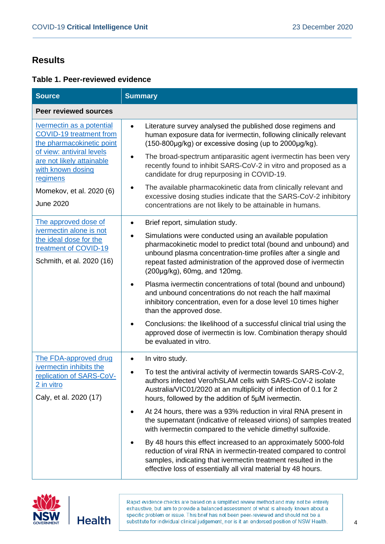## **Results**

#### **Table 1. Peer-reviewed evidence**

| <b>Source</b>                                                                                                                                                                                            | <b>Summary</b>                                                                                                                                                                                                                                                                                                                                                                                                                                                                                                                                                                                                                                                                                                                                                                                      |  |
|----------------------------------------------------------------------------------------------------------------------------------------------------------------------------------------------------------|-----------------------------------------------------------------------------------------------------------------------------------------------------------------------------------------------------------------------------------------------------------------------------------------------------------------------------------------------------------------------------------------------------------------------------------------------------------------------------------------------------------------------------------------------------------------------------------------------------------------------------------------------------------------------------------------------------------------------------------------------------------------------------------------------------|--|
| <b>Peer reviewed sources</b>                                                                                                                                                                             |                                                                                                                                                                                                                                                                                                                                                                                                                                                                                                                                                                                                                                                                                                                                                                                                     |  |
| Ivermectin as a potential<br>COVID-19 treatment from<br>the pharmacokinetic point<br>of view: antiviral levels<br>are not likely attainable<br>with known dosing<br>regimens<br>Momekov, et al. 2020 (6) | Literature survey analysed the published dose regimens and<br>$\bullet$<br>human exposure data for ivermectin, following clinically relevant<br>(150-800µg/kg) or excessive dosing (up to 2000µg/kg).<br>The broad-spectrum antiparasitic agent ivermectin has been very<br>$\bullet$<br>recently found to inhibit SARS-CoV-2 in vitro and proposed as a<br>candidate for drug repurposing in COVID-19.<br>The available pharmacokinetic data from clinically relevant and<br>٠                                                                                                                                                                                                                                                                                                                     |  |
| <b>June 2020</b>                                                                                                                                                                                         | excessive dosing studies indicate that the SARS-CoV-2 inhibitory<br>concentrations are not likely to be attainable in humans.                                                                                                                                                                                                                                                                                                                                                                                                                                                                                                                                                                                                                                                                       |  |
| The approved dose of<br>ivermectin alone is not<br>the ideal dose for the<br>treatment of COVID-19<br>Schmith, et al. 2020 (16)                                                                          | Brief report, simulation study.<br>$\bullet$<br>Simulations were conducted using an available population<br>$\bullet$<br>pharmacokinetic model to predict total (bound and unbound) and<br>unbound plasma concentration-time profiles after a single and<br>repeat fasted administration of the approved dose of ivermectin<br>(200µg/kg), 60mg, and 120mg.<br>Plasma ivermectin concentrations of total (bound and unbound)<br>٠<br>and unbound concentrations do not reach the half maximal<br>inhibitory concentration, even for a dose level 10 times higher<br>than the approved dose.<br>Conclusions: the likelihood of a successful clinical trial using the<br>approved dose of ivermectin is low. Combination therapy should<br>be evaluated in vitro.                                     |  |
| The FDA-approved drug<br>ivermectin inhibits the<br>replication of SARS-CoV-<br>2 in vitro<br>Caly, et al. 2020 (17)                                                                                     | In vitro study.<br>$\bullet$<br>To test the antiviral activity of ivermectin towards SARS-CoV-2,<br>$\bullet$<br>authors infected Vero/hSLAM cells with SARS-CoV-2 isolate<br>Australia/VIC01/2020 at an multiplicity of infection of 0.1 for 2<br>hours, followed by the addition of 5µM ivermectin.<br>At 24 hours, there was a 93% reduction in viral RNA present in<br>$\bullet$<br>the supernatant (indicative of released virions) of samples treated<br>with ivermectin compared to the vehicle dimethyl sulfoxide.<br>By 48 hours this effect increased to an approximately 5000-fold<br>reduction of viral RNA in ivermectin-treated compared to control<br>samples, indicating that ivermectin treatment resulted in the<br>effective loss of essentially all viral material by 48 hours. |  |



**Health**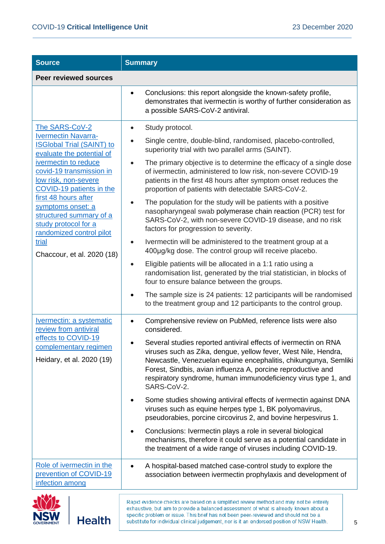**NSW** 

**Health** 

| <b>Source</b>                                                                                                                                                                                                                                                                                                                                                                            | <b>Summary</b>                                                                                                                                                                                                                                                                                                                                                                                                                                                                                                                                                                                                                                                                                                                                                                                                                                                                                                                                          |  |
|------------------------------------------------------------------------------------------------------------------------------------------------------------------------------------------------------------------------------------------------------------------------------------------------------------------------------------------------------------------------------------------|---------------------------------------------------------------------------------------------------------------------------------------------------------------------------------------------------------------------------------------------------------------------------------------------------------------------------------------------------------------------------------------------------------------------------------------------------------------------------------------------------------------------------------------------------------------------------------------------------------------------------------------------------------------------------------------------------------------------------------------------------------------------------------------------------------------------------------------------------------------------------------------------------------------------------------------------------------|--|
| <b>Peer reviewed sources</b>                                                                                                                                                                                                                                                                                                                                                             |                                                                                                                                                                                                                                                                                                                                                                                                                                                                                                                                                                                                                                                                                                                                                                                                                                                                                                                                                         |  |
|                                                                                                                                                                                                                                                                                                                                                                                          | Conclusions: this report alongside the known-safety profile,<br>$\bullet$<br>demonstrates that ivermectin is worthy of further consideration as<br>a possible SARS-CoV-2 antiviral.                                                                                                                                                                                                                                                                                                                                                                                                                                                                                                                                                                                                                                                                                                                                                                     |  |
| The SARS-CoV-2<br><b>Ivermectin Navarra-</b><br><b>ISGlobal Trial (SAINT) to</b><br>evaluate the potential of<br>ivermectin to reduce<br>covid-19 transmission in<br>low risk, non-severe<br>COVID-19 patients in the<br>first 48 hours after<br>symptoms onset: a<br>structured summary of a<br>study protocol for a<br>randomized control pilot<br>trial<br>Chaccour, et al. 2020 (18) | Study protocol.<br>Single centre, double-blind, randomised, placebo-controlled,<br>superiority trial with two parallel arms (SAINT).<br>The primary objective is to determine the efficacy of a single dose<br>of ivermectin, administered to low risk, non-severe COVID-19<br>patients in the first 48 hours after symptom onset reduces the<br>proportion of patients with detectable SARS-CoV-2.<br>The population for the study will be patients with a positive<br>nasopharyngeal swab polymerase chain reaction (PCR) test for<br>SARS-CoV-2, with non-severe COVID-19 disease, and no risk<br>factors for progression to severity.<br>Ivermectin will be administered to the treatment group at a<br>400µg/kg dose. The control group will receive placebo.<br>Eligible patients will be allocated in a 1:1 ratio using a<br>randomisation list, generated by the trial statistician, in blocks of<br>four to ensure balance between the groups. |  |
|                                                                                                                                                                                                                                                                                                                                                                                          | The sample size is 24 patients: 12 participants will be randomised<br>to the treatment group and 12 participants to the control group.                                                                                                                                                                                                                                                                                                                                                                                                                                                                                                                                                                                                                                                                                                                                                                                                                  |  |
| <b>Ivermectin: a systematic</b><br>review from antiviral<br>effects to COVID-19<br>complementary regimen<br>Heidary, et al. 2020 (19)                                                                                                                                                                                                                                                    | Comprehensive review on PubMed, reference lists were also<br>considered.<br>Several studies reported antiviral effects of ivermectin on RNA<br>viruses such as Zika, dengue, yellow fever, West Nile, Hendra,<br>Newcastle, Venezuelan equine encephalitis, chikungunya, Semliki<br>Forest, Sindbis, avian influenza A, porcine reproductive and<br>respiratory syndrome, human immunodeficiency virus type 1, and<br>SARS-CoV-2.<br>Some studies showing antiviral effects of ivermectin against DNA<br>viruses such as equine herpes type 1, BK polyomavirus,<br>pseudorabies, porcine circovirus 2, and bovine herpesvirus 1.<br>Conclusions: Ivermectin plays a role in several biological<br>mechanisms, therefore it could serve as a potential candidate in<br>the treatment of a wide range of viruses including COVID-19.                                                                                                                      |  |
| Role of ivermectin in the<br>prevention of COVID-19<br>infection among                                                                                                                                                                                                                                                                                                                   | A hospital-based matched case-control study to explore the<br>association between ivermectin prophylaxis and development of                                                                                                                                                                                                                                                                                                                                                                                                                                                                                                                                                                                                                                                                                                                                                                                                                             |  |
|                                                                                                                                                                                                                                                                                                                                                                                          | Rapid evidence checks are based on a simplified review method and may not be entirely<br>exhaustive, but aim to provide a balanced assessment of what is already known about a                                                                                                                                                                                                                                                                                                                                                                                                                                                                                                                                                                                                                                                                                                                                                                          |  |

specific problem or issue. This brief has not been peer-reviewed and should not be a substitute for individual clinical judgement, nor is it an endorsed position of NSW Health.

5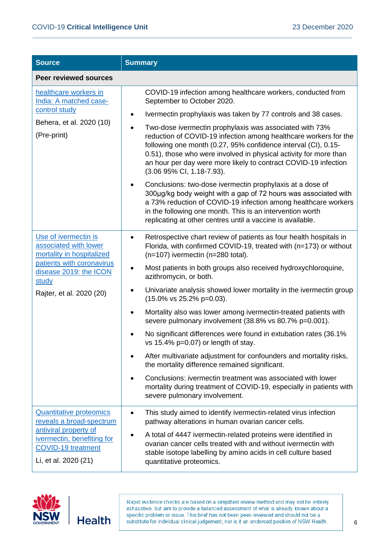| <b>Source</b>                                                                                                                                                          | <b>Summary</b>                                                                                                                                                                                                                                                                                                                                                                                                                                                                                                                                                                                                                                                                                                                                                                                                                                                                                                                                             |
|------------------------------------------------------------------------------------------------------------------------------------------------------------------------|------------------------------------------------------------------------------------------------------------------------------------------------------------------------------------------------------------------------------------------------------------------------------------------------------------------------------------------------------------------------------------------------------------------------------------------------------------------------------------------------------------------------------------------------------------------------------------------------------------------------------------------------------------------------------------------------------------------------------------------------------------------------------------------------------------------------------------------------------------------------------------------------------------------------------------------------------------|
| <b>Peer reviewed sources</b>                                                                                                                                           |                                                                                                                                                                                                                                                                                                                                                                                                                                                                                                                                                                                                                                                                                                                                                                                                                                                                                                                                                            |
| healthcare workers in<br>India: A matched case-<br>control study<br>Behera, et al. 2020 (10)<br>(Pre-print)                                                            | COVID-19 infection among healthcare workers, conducted from<br>September to October 2020.<br>Ivermectin prophylaxis was taken by 77 controls and 38 cases.<br>Two-dose ivermectin prophylaxis was associated with 73%<br>reduction of COVID-19 infection among healthcare workers for the<br>following one month (0.27, 95% confidence interval (CI), 0.15-<br>0.51), those who were involved in physical activity for more than<br>an hour per day were more likely to contract COVID-19 infection<br>(3.06 95% CI, 1.18-7.93).<br>Conclusions: two-dose ivermectin prophylaxis at a dose of<br>300µg/kg body weight with a gap of 72 hours was associated with<br>a 73% reduction of COVID-19 infection among healthcare workers<br>in the following one month. This is an intervention worth<br>replicating at other centres until a vaccine is available.                                                                                              |
| Use of ivermectin is<br>associated with lower<br>mortality in hospitalized<br>patients with coronavirus<br>disease 2019: the ICON<br>study<br>Rajter, et al. 2020 (20) | Retrospective chart review of patients as four health hospitals in<br>Florida, with confirmed COVID-19, treated with (n=173) or without<br>(n=107) ivermectin (n=280 total).<br>Most patients in both groups also received hydroxychloroquine,<br>azithromycin, or both.<br>Univariate analysis showed lower mortality in the ivermectin group<br>$(15.0\% \text{ vs } 25.2\% \text{ p} = 0.03).$<br>Mortality also was lower among ivermectin-treated patients with<br>٠<br>severe pulmonary involvement (38.8% vs 80.7% p=0.001).<br>No significant differences were found in extubation rates (36.1%<br>vs 15.4% p=0.07) or length of stay.<br>After multivariate adjustment for confounders and mortality risks,<br>the mortality difference remained significant.<br>Conclusions: ivermectin treatment was associated with lower<br>$\bullet$<br>mortality during treatment of COVID-19, especially in patients with<br>severe pulmonary involvement. |
| <b>Quantitative proteomics</b><br>reveals a broad-spectrum<br>antiviral property of<br>ivermectin, benefiting for<br><b>COVID-19 treatment</b><br>Li, et al. 2020 (21) | This study aimed to identify ivermectin-related virus infection<br>$\bullet$<br>pathway alterations in human ovarian cancer cells.<br>A total of 4447 ivermectin-related proteins were identified in<br>ovarian cancer cells treated with and without ivermectin with<br>stable isotope labelling by amino acids in cell culture based<br>quantitative proteomics.                                                                                                                                                                                                                                                                                                                                                                                                                                                                                                                                                                                         |

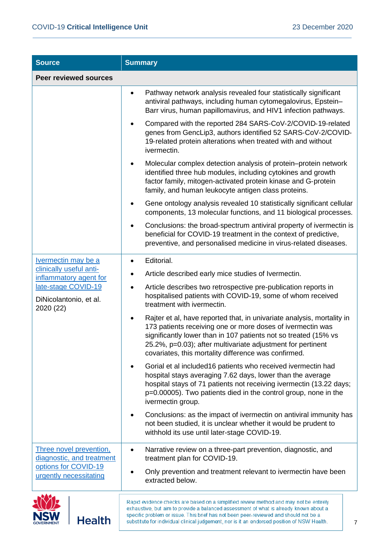**NSW** 

**Health** 

| <b>Source</b>                                              | <b>Summary</b>                                                                                                                                                                                                                                                                                                                 |  |
|------------------------------------------------------------|--------------------------------------------------------------------------------------------------------------------------------------------------------------------------------------------------------------------------------------------------------------------------------------------------------------------------------|--|
| <b>Peer reviewed sources</b>                               |                                                                                                                                                                                                                                                                                                                                |  |
|                                                            | Pathway network analysis revealed four statistically significant<br>antiviral pathways, including human cytomegalovirus, Epstein-<br>Barr virus, human papillomavirus, and HIV1 infection pathways.                                                                                                                            |  |
|                                                            | Compared with the reported 284 SARS-CoV-2/COVID-19-related<br>genes from GencLip3, authors identified 52 SARS-CoV-2/COVID-<br>19-related protein alterations when treated with and without<br>ivermectin.                                                                                                                      |  |
|                                                            | Molecular complex detection analysis of protein–protein network<br>identified three hub modules, including cytokines and growth<br>factor family, mitogen-activated protein kinase and G-protein<br>family, and human leukocyte antigen class proteins.                                                                        |  |
|                                                            | Gene ontology analysis revealed 10 statistically significant cellular<br>components, 13 molecular functions, and 11 biological processes.                                                                                                                                                                                      |  |
|                                                            | Conclusions: the broad-spectrum antiviral property of ivermectin is<br>beneficial for COVID-19 treatment in the context of predictive,<br>preventive, and personalised medicine in virus-related diseases.                                                                                                                     |  |
| <b>Ivermectin may be a</b>                                 | Editorial.                                                                                                                                                                                                                                                                                                                     |  |
| clinically useful anti-<br>inflammatory agent for          | Article described early mice studies of Ivermectin.                                                                                                                                                                                                                                                                            |  |
| late-stage COVID-19<br>DiNicolantonio, et al.<br>2020 (22) | Article describes two retrospective pre-publication reports in<br>hospitalised patients with COVID-19, some of whom received<br>treatment with ivermectin.                                                                                                                                                                     |  |
|                                                            | Rajter et al, have reported that, in univariate analysis, mortality in<br>173 patients receiving one or more doses of ivermectin was<br>significantly lower than in 107 patients not so treated (15% vs<br>25.2%, p=0.03); after multivariate adjustment for pertinent<br>covariates, this mortality difference was confirmed. |  |
|                                                            | Gorial et al included16 patients who received ivermectin had<br>hospital stays averaging 7.62 days, lower than the average<br>hospital stays of 71 patients not receiving ivermectin (13.22 days;<br>p=0.00005). Two patients died in the control group, none in the<br>ivermectin group.                                      |  |
|                                                            | Conclusions: as the impact of ivermectin on antiviral immunity has<br>not been studied, it is unclear whether it would be prudent to<br>withhold its use until later-stage COVID-19.                                                                                                                                           |  |
| Three novel prevention,<br>diagnostic, and treatment       | Narrative review on a three-part prevention, diagnostic, and<br>treatment plan for COVID-19.                                                                                                                                                                                                                                   |  |
| options for COVID-19<br>urgently necessitating             | Only prevention and treatment relevant to ivermectin have been<br>extracted below.                                                                                                                                                                                                                                             |  |
|                                                            | Rapid evidence checks are based on a simplified review method and may not be entirely<br>exhaustive, but aim to provide a balanced assessment of what is already known about a                                                                                                                                                 |  |

specific problem or issue. This brief has not been peer-reviewed and should not be a

substitute for individual clinical judgement, nor is it an endorsed position of NSW Health.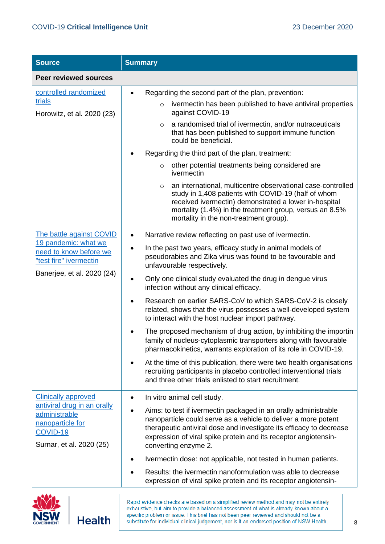| <b>Source</b>                                                                                                                          | <b>Summary</b>                                                                                                                                                                                                                                                                                                                                                                                                                                                                                                                                                                                                                                                                                                                                                                                                                                                                                                                                    |  |
|----------------------------------------------------------------------------------------------------------------------------------------|---------------------------------------------------------------------------------------------------------------------------------------------------------------------------------------------------------------------------------------------------------------------------------------------------------------------------------------------------------------------------------------------------------------------------------------------------------------------------------------------------------------------------------------------------------------------------------------------------------------------------------------------------------------------------------------------------------------------------------------------------------------------------------------------------------------------------------------------------------------------------------------------------------------------------------------------------|--|
| Peer reviewed sources                                                                                                                  |                                                                                                                                                                                                                                                                                                                                                                                                                                                                                                                                                                                                                                                                                                                                                                                                                                                                                                                                                   |  |
| controlled randomized<br>trials<br>Horowitz, et al. 2020 (23)                                                                          | Regarding the second part of the plan, prevention:<br>ivermectin has been published to have antiviral properties<br>$\circ$<br>against COVID-19<br>a randomised trial of ivermectin, and/or nutraceuticals<br>$\circ$<br>that has been published to support immune function<br>could be beneficial.<br>Regarding the third part of the plan, treatment:<br>other potential treatments being considered are<br>$\circ$<br>ivermectin<br>an international, multicentre observational case-controlled<br>$\circ$<br>study in 1,408 patients with COVID-19 (half of whom<br>received ivermectin) demonstrated a lower in-hospital<br>mortality (1.4%) in the treatment group, versus an 8.5%<br>mortality in the non-treatment group).                                                                                                                                                                                                                |  |
| The battle against COVID<br>19 pandemic: what we<br>need to know before we<br>"test fire" ivermectin<br>Banerjee, et al. 2020 (24)     | Narrative review reflecting on past use of ivermectin.<br>$\bullet$<br>In the past two years, efficacy study in animal models of<br>pseudorabies and Zika virus was found to be favourable and<br>unfavourable respectively.<br>Only one clinical study evaluated the drug in dengue virus<br>infection without any clinical efficacy.<br>Research on earlier SARS-CoV to which SARS-CoV-2 is closely<br>related, shows that the virus possesses a well-developed system<br>to interact with the host nuclear import pathway.<br>The proposed mechanism of drug action, by inhibiting the importin<br>family of nucleus-cytoplasmic transporters along with favourable<br>pharmacokinetics, warrants exploration of its role in COVID-19.<br>At the time of this publication, there were two health organisations<br>recruiting participants in placebo controlled interventional trials<br>and three other trials enlisted to start recruitment. |  |
| <b>Clinically approved</b><br>antiviral drug in an orally<br>administrable<br>nanoparticle for<br>COVID-19<br>Surnar, et al. 2020 (25) | In vitro animal cell study.<br>Aims: to test if ivermectin packaged in an orally administrable<br>nanoparticle could serve as a vehicle to deliver a more potent<br>therapeutic antiviral dose and investigate its efficacy to decrease<br>expression of viral spike protein and its receptor angiotensin-<br>converting enzyme 2.<br>Ivermectin dose: not applicable, not tested in human patients.<br>Results: the ivermectin nanoformulation was able to decrease                                                                                                                                                                                                                                                                                                                                                                                                                                                                              |  |
|                                                                                                                                        | expression of viral spike protein and its receptor angiotensin-                                                                                                                                                                                                                                                                                                                                                                                                                                                                                                                                                                                                                                                                                                                                                                                                                                                                                   |  |



**Health**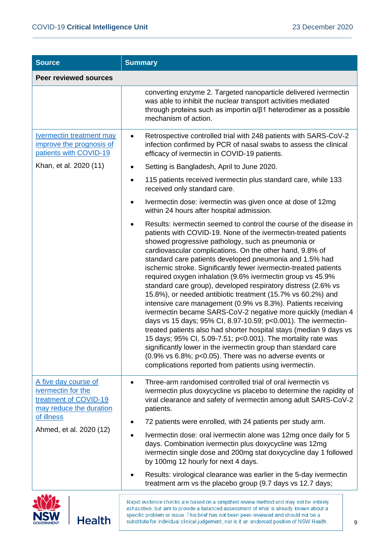| <b>Source</b>                                                                                                | <b>Summary</b>                                                                                                                                                                                                                                                                                                                                                                                                                                                                                                                                                                                                                                                                                                                                                                                                                                                                                                                                                                                                                                                                                                        |
|--------------------------------------------------------------------------------------------------------------|-----------------------------------------------------------------------------------------------------------------------------------------------------------------------------------------------------------------------------------------------------------------------------------------------------------------------------------------------------------------------------------------------------------------------------------------------------------------------------------------------------------------------------------------------------------------------------------------------------------------------------------------------------------------------------------------------------------------------------------------------------------------------------------------------------------------------------------------------------------------------------------------------------------------------------------------------------------------------------------------------------------------------------------------------------------------------------------------------------------------------|
| <b>Peer reviewed sources</b>                                                                                 |                                                                                                                                                                                                                                                                                                                                                                                                                                                                                                                                                                                                                                                                                                                                                                                                                                                                                                                                                                                                                                                                                                                       |
|                                                                                                              | converting enzyme 2. Targeted nanoparticle delivered ivermectin<br>was able to inhibit the nuclear transport activities mediated<br>through proteins such as importin $\alpha/\beta$ 1 heterodimer as a possible<br>mechanism of action.                                                                                                                                                                                                                                                                                                                                                                                                                                                                                                                                                                                                                                                                                                                                                                                                                                                                              |
| <b>Ivermectin treatment may</b><br>improve the prognosis of<br>patients with COVID-19                        | Retrospective controlled trial with 248 patients with SARS-CoV-2<br>٠<br>infection confirmed by PCR of nasal swabs to assess the clinical<br>efficacy of ivermectin in COVID-19 patients.                                                                                                                                                                                                                                                                                                                                                                                                                                                                                                                                                                                                                                                                                                                                                                                                                                                                                                                             |
| Khan, et al. 2020 (11)                                                                                       | Setting is Bangladesh, April to June 2020.                                                                                                                                                                                                                                                                                                                                                                                                                                                                                                                                                                                                                                                                                                                                                                                                                                                                                                                                                                                                                                                                            |
|                                                                                                              | 115 patients received ivermectin plus standard care, while 133<br>$\bullet$<br>received only standard care.                                                                                                                                                                                                                                                                                                                                                                                                                                                                                                                                                                                                                                                                                                                                                                                                                                                                                                                                                                                                           |
|                                                                                                              | Ivermectin dose: ivermectin was given once at dose of 12mg<br>within 24 hours after hospital admission.                                                                                                                                                                                                                                                                                                                                                                                                                                                                                                                                                                                                                                                                                                                                                                                                                                                                                                                                                                                                               |
|                                                                                                              | Results: ivermectin seemed to control the course of the disease in<br>patients with COVID-19. None of the ivermectin-treated patients<br>showed progressive pathology, such as pneumonia or<br>cardiovascular complications. On the other hand, 9.8% of<br>standard care patients developed pneumonia and 1.5% had<br>ischemic stroke. Significantly fewer ivermectin-treated patients<br>required oxygen inhalation (9.6% ivermectin group vs 45.9%<br>standard care group), developed respiratory distress (2.6% vs<br>15.8%), or needed antibiotic treatment (15.7% vs 60.2%) and<br>intensive care management (0.9% vs 8.3%). Patients receiving<br>ivermectin became SARS-CoV-2 negative more quickly (median 4<br>days vs 15 days; 95% CI, 8.97-10.59; p<0.001). The ivermectin-<br>treated patients also had shorter hospital stays (median 9 days vs<br>15 days; 95% CI, 5.09-7.51; p<0.001). The mortality rate was<br>significantly lower in the ivermectin group than standard care<br>$(0.9\%$ vs 6.8%; p<0.05). There was no adverse events or<br>complications reported from patients using ivermectin. |
| A five day course of<br>ivermectin for the<br>treatment of COVID-19<br>may reduce the duration<br>of illness | Three-arm randomised controlled trial of oral ivermectin vs<br>ivermectin plus doxycycline vs placebo to determine the rapidity of<br>viral clearance and safety of ivermectin among adult SARS-CoV-2<br>patients.<br>72 patients were enrolled, with 24 patients per study arm.                                                                                                                                                                                                                                                                                                                                                                                                                                                                                                                                                                                                                                                                                                                                                                                                                                      |
| Ahmed, et al. 2020 (12)                                                                                      | Ivermectin dose: oral ivermectin alone was 12mg once daily for 5                                                                                                                                                                                                                                                                                                                                                                                                                                                                                                                                                                                                                                                                                                                                                                                                                                                                                                                                                                                                                                                      |
|                                                                                                              | days. Combination ivermectin plus doxycycline was 12mg<br>ivermectin single dose and 200mg stat doxycycline day 1 followed<br>by 100mg 12 hourly for next 4 days.                                                                                                                                                                                                                                                                                                                                                                                                                                                                                                                                                                                                                                                                                                                                                                                                                                                                                                                                                     |
|                                                                                                              | Results: virological clearance was earlier in the 5-day ivermectin<br>treatment arm vs the placebo group (9.7 days vs 12.7 days;                                                                                                                                                                                                                                                                                                                                                                                                                                                                                                                                                                                                                                                                                                                                                                                                                                                                                                                                                                                      |
|                                                                                                              | Rapid evidence checks are based on a simplified review method and may not be entirely                                                                                                                                                                                                                                                                                                                                                                                                                                                                                                                                                                                                                                                                                                                                                                                                                                                                                                                                                                                                                                 |

**NSW** 

exhaustive, but aim to provide a balanced assessment of what is already known about a specific problem or issue. This brief has not been peer-reviewed and should not be a substitute for individual clinical judgement, nor is it an endorsed position of NSW Health.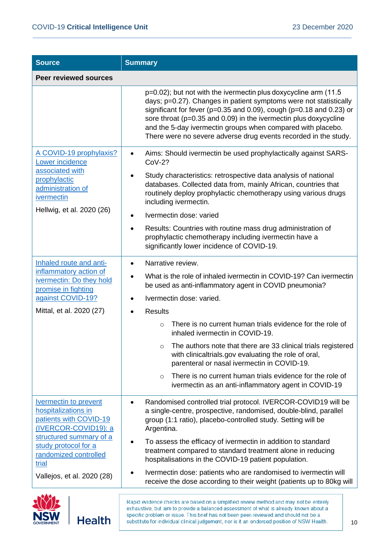| <b>Source</b>                                                                                                                                                                                                            | <b>Summary</b>                                                                                                                                                                                                                                                                                                                                                                                                                                                                                                                                                                                                          |
|--------------------------------------------------------------------------------------------------------------------------------------------------------------------------------------------------------------------------|-------------------------------------------------------------------------------------------------------------------------------------------------------------------------------------------------------------------------------------------------------------------------------------------------------------------------------------------------------------------------------------------------------------------------------------------------------------------------------------------------------------------------------------------------------------------------------------------------------------------------|
| <b>Peer reviewed sources</b>                                                                                                                                                                                             |                                                                                                                                                                                                                                                                                                                                                                                                                                                                                                                                                                                                                         |
|                                                                                                                                                                                                                          | p=0.02); but not with the ivermectin plus doxycycline arm (11.5)<br>days; p=0.27). Changes in patient symptoms were not statistically<br>significant for fever ( $p=0.35$ and 0.09), cough ( $p=0.18$ and 0.23) or<br>sore throat (p=0.35 and 0.09) in the ivermectin plus doxycycline<br>and the 5-day ivermectin groups when compared with placebo.<br>There were no severe adverse drug events recorded in the study.                                                                                                                                                                                                |
| A COVID-19 prophylaxis?<br>Lower incidence<br>associated with<br>prophylactic<br>administration of<br>ivermectin<br>Hellwig, et al. 2020 (26)                                                                            | Aims: Should ivermectin be used prophylactically against SARS-<br>$CoV-2?$<br>Study characteristics: retrospective data analysis of national<br>databases. Collected data from, mainly African, countries that<br>routinely deploy prophylactic chemotherapy using various drugs<br>including ivermectin.<br>Ivermectin dose: varied<br>Results: Countries with routine mass drug administration of<br>prophylactic chemotherapy including ivermectin have a<br>significantly lower incidence of COVID-19.                                                                                                              |
| Inhaled route and anti-<br>inflammatory action of<br>ivermectin: Do they hold<br>promise in fighting<br>against COVID-19?<br>Mittal, et al. 2020 (27)                                                                    | Narrative review.<br>What is the role of inhaled ivermectin in COVID-19? Can ivermectin<br>be used as anti-inflammatory agent in COVID pneumonia?<br>Ivermectin dose: varied.<br><b>Results</b><br>There is no current human trials evidence for the role of<br>$\circ$<br>inhaled ivermectin in COVID-19.<br>The authors note that there are 33 clinical trials registered<br>O<br>with clinicaltrials.gov evaluating the role of oral,<br>parenteral or nasal ivermectin in COVID-19.<br>There is no current human trials evidence for the role of<br>$\circ$<br>ivermectin as an anti-inflammatory agent in COVID-19 |
| <b>Ivermectin to prevent</b><br>hospitalizations in<br>patients with COVID-19<br>(IVERCOR-COVID19): a<br>structured summary of a<br>study protocol for a<br>randomized controlled<br>trial<br>Vallejos, et al. 2020 (28) | Randomised controlled trial protocol. IVERCOR-COVID19 will be<br>a single-centre, prospective, randomised, double-blind, parallel<br>group (1:1 ratio), placebo-controlled study. Setting will be<br>Argentina.<br>To assess the efficacy of ivermectin in addition to standard<br>treatment compared to standard treatment alone in reducing<br>hospitalisations in the COVID-19 patient population.<br>Ivermectin dose: patients who are randomised to ivermectin will<br>receive the dose according to their weight (patients up to 80kg will                                                                        |



**Health**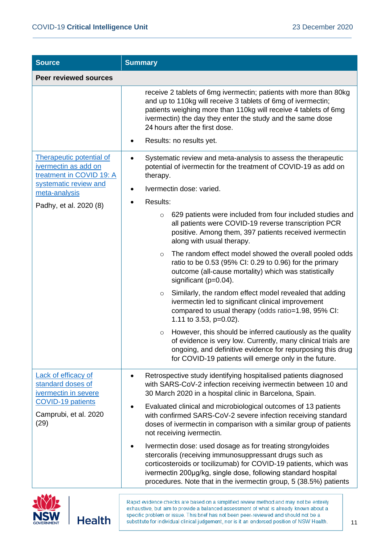| <b>Source</b>                                                                                                                                           | <b>Summary</b>                                                                                                                                                                                                                                                                                                                   |
|---------------------------------------------------------------------------------------------------------------------------------------------------------|----------------------------------------------------------------------------------------------------------------------------------------------------------------------------------------------------------------------------------------------------------------------------------------------------------------------------------|
| <b>Peer reviewed sources</b>                                                                                                                            |                                                                                                                                                                                                                                                                                                                                  |
|                                                                                                                                                         | receive 2 tablets of 6mg ivermectin; patients with more than 80kg<br>and up to 110kg will receive 3 tablets of 6mg of ivermectin;<br>patients weighing more than 110kg will receive 4 tablets of 6mg<br>ivermectin) the day they enter the study and the same dose<br>24 hours after the first dose.<br>Results: no results yet. |
| <b>Therapeutic potential of</b><br>ivermectin as add on<br>treatment in COVID 19: A<br>systematic review and<br>meta-analysis<br>Padhy, et al. 2020 (8) | Systematic review and meta-analysis to assess the therapeutic<br>potential of ivermectin for the treatment of COVID-19 as add on<br>therapy.<br>Ivermectin dose: varied.<br>٠<br>Results:<br>629 patients were included from four included studies and<br>$\circ$<br>all patients were COVID-19 reverse transcription PCR        |
|                                                                                                                                                         | positive. Among them, 397 patients received ivermectin<br>along with usual therapy.<br>The random effect model showed the overall pooled odds<br>$\circ$                                                                                                                                                                         |
|                                                                                                                                                         | ratio to be 0.53 (95% CI: 0.29 to 0.96) for the primary<br>outcome (all-cause mortality) which was statistically<br>significant ( $p=0.04$ ).                                                                                                                                                                                    |
|                                                                                                                                                         | Similarly, the random effect model revealed that adding<br>$\circ$<br>ivermectin led to significant clinical improvement<br>compared to usual therapy (odds ratio=1.98, 95% CI:<br>1.11 to 3.53, $p=0.02$ ).                                                                                                                     |
|                                                                                                                                                         | However, this should be inferred cautiously as the quality<br>$\circ$<br>of evidence is very low. Currently, many clinical trials are<br>ongoing, and definitive evidence for repurposing this drug<br>for COVID-19 patients will emerge only in the future.                                                                     |
| <b>Lack of efficacy of</b><br>standard doses of<br>ivermectin in severe<br><b>COVID-19 patients</b><br>Camprubi, et al. 2020<br>(29)                    | Retrospective study identifying hospitalised patients diagnosed<br>with SARS-CoV-2 infection receiving ivermectin between 10 and<br>30 March 2020 in a hospital clinic in Barcelona, Spain.                                                                                                                                      |
|                                                                                                                                                         | Evaluated clinical and microbiological outcomes of 13 patients<br>with confirmed SARS-CoV-2 severe infection receiving standard<br>doses of ivermectin in comparison with a similar group of patients<br>not receiving ivermectin.                                                                                               |
|                                                                                                                                                         | Ivermectin dose: used dosage as for treating strongyloides<br>stercoralis (receiving immunosuppressant drugs such as<br>corticosteroids or tocilizumab) for COVID-19 patients, which was<br>ivermectin 200µg/kg, single dose, following standard hospital<br>procedures. Note that in the ivermectin group, 5 (38.5%) patients   |
|                                                                                                                                                         | Rapid evidence checks are based on a simplified review method and may not be entirely<br>exhaustive, but aim to provide a balanced assessment of what is already known about a                                                                                                                                                   |

specific problem or issue. This brief has not been peer-reviewed and should not be a

substitute for individual clinical judgement, nor is it an endorsed position of NSW Health.

**NSW**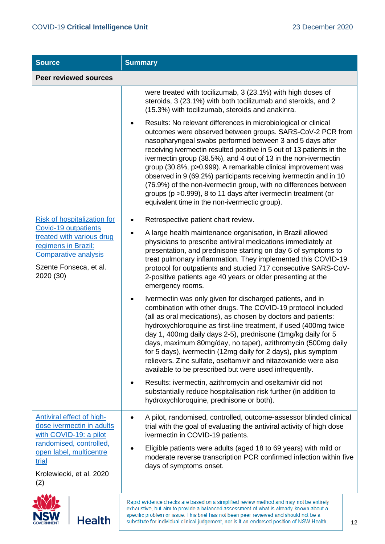| <b>Source</b>                                                                                                                                  | <b>Summary</b>                                                                                                                                                                                                                                                                                                                                                                                                                                                                                                                                                                               |  |
|------------------------------------------------------------------------------------------------------------------------------------------------|----------------------------------------------------------------------------------------------------------------------------------------------------------------------------------------------------------------------------------------------------------------------------------------------------------------------------------------------------------------------------------------------------------------------------------------------------------------------------------------------------------------------------------------------------------------------------------------------|--|
| <b>Peer reviewed sources</b>                                                                                                                   |                                                                                                                                                                                                                                                                                                                                                                                                                                                                                                                                                                                              |  |
|                                                                                                                                                | were treated with tocilizumab, 3 (23.1%) with high doses of<br>steroids, 3 (23.1%) with both tocilizumab and steroids, and 2<br>(15.3%) with tocilizumab, steroids and anakinra.<br>Results: No relevant differences in microbiological or clinical<br>٠<br>outcomes were observed between groups. SARS-CoV-2 PCR from                                                                                                                                                                                                                                                                       |  |
|                                                                                                                                                | nasopharyngeal swabs performed between 3 and 5 days after<br>receiving ivermectin resulted positive in 5 out of 13 patients in the<br>ivermectin group (38.5%), and 4 out of 13 in the non-ivermectin<br>group (30.8%, p>0.999). A remarkable clinical improvement was<br>observed in 9 (69.2%) participants receiving ivermectin and in 10<br>(76.9%) of the non-ivermectin group, with no differences between<br>groups (p > 0.999), 8 to 11 days after ivermectin treatment (or<br>equivalent time in the non-ivermectic group).                                                          |  |
| <b>Risk of hospitalization for</b>                                                                                                             | Retrospective patient chart review.<br>$\bullet$                                                                                                                                                                                                                                                                                                                                                                                                                                                                                                                                             |  |
| Covid-19 outpatients<br>treated with various drug<br>regimens in Brazil:<br><b>Comparative analysis</b><br>Szente Fonseca, et al.<br>2020 (30) | A large health maintenance organisation, in Brazil allowed<br>physicians to prescribe antiviral medications immediately at<br>presentation, and prednisone starting on day 6 of symptoms to<br>treat pulmonary inflammation. They implemented this COVID-19<br>protocol for outpatients and studied 717 consecutive SARS-CoV-<br>2-positive patients age 40 years or older presenting at the<br>emergency rooms.                                                                                                                                                                             |  |
|                                                                                                                                                | Ivermectin was only given for discharged patients, and in<br>combination with other drugs. The COVID-19 protocol included<br>(all as oral medications), as chosen by doctors and patients:<br>hydroxychloroquine as first-line treatment, if used (400mg twice<br>day 1, 400mg daily days 2-5), prednisone (1mg/kg daily for 5<br>days, maximum 80mg/day, no taper), azithromycin (500mg daily<br>for 5 days), ivermectin (12mg daily for 2 days), plus symptom<br>relievers. Zinc sulfate, oseltamivir and nitazoxanide were also<br>available to be prescribed but were used infrequently. |  |
|                                                                                                                                                | Results: ivermectin, azithromycin and oseltamivir did not<br>substantially reduce hospitalisation risk further (in addition to<br>hydroxychloroquine, prednisone or both).                                                                                                                                                                                                                                                                                                                                                                                                                   |  |
| <b>Antiviral effect of high-</b><br>dose ivermectin in adults<br>with COVID-19: a pilot                                                        | A pilot, randomised, controlled, outcome-assessor blinded clinical<br>trial with the goal of evaluating the antiviral activity of high dose<br>ivermectin in COVID-19 patients.                                                                                                                                                                                                                                                                                                                                                                                                              |  |
| randomised, controlled,<br>open label, multicentre<br>trial<br>Krolewiecki, et al. 2020                                                        | Eligible patients were adults (aged 18 to 69 years) with mild or<br>moderate reverse transcription PCR confirmed infection within five<br>days of symptoms onset.                                                                                                                                                                                                                                                                                                                                                                                                                            |  |
| (2)                                                                                                                                            |                                                                                                                                                                                                                                                                                                                                                                                                                                                                                                                                                                                              |  |
| Health                                                                                                                                         | Rapid evidence checks are based on a simplified review method and may not be entirely<br>exhaustive, but aim to provide a balanced assessment of what is already known about a<br>specific problem or issue. This brief has not been peer-reviewed and should not be a<br>substitute for individual clinical judgement, nor is it an endorsed position of NSW Health.<br>12                                                                                                                                                                                                                  |  |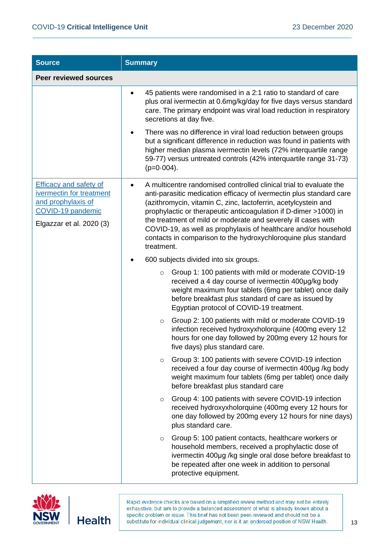| <b>Source</b>                                                                                                                    | <b>Summary</b>                                                                                                                                                                                                                                                                                                                                                                                                                                                                                      |  |
|----------------------------------------------------------------------------------------------------------------------------------|-----------------------------------------------------------------------------------------------------------------------------------------------------------------------------------------------------------------------------------------------------------------------------------------------------------------------------------------------------------------------------------------------------------------------------------------------------------------------------------------------------|--|
| <b>Peer reviewed sources</b>                                                                                                     |                                                                                                                                                                                                                                                                                                                                                                                                                                                                                                     |  |
|                                                                                                                                  | 45 patients were randomised in a 2:1 ratio to standard of care<br>plus oral ivermectin at 0.6mg/kg/day for five days versus standard<br>care. The primary endpoint was viral load reduction in respiratory<br>secretions at day five.<br>There was no difference in viral load reduction between groups<br>but a significant difference in reduction was found in patients with                                                                                                                     |  |
|                                                                                                                                  | higher median plasma ivermectin levels (72% interquartile range<br>59-77) versus untreated controls (42% interquartile range 31-73)<br>$(p=0.004)$ .                                                                                                                                                                                                                                                                                                                                                |  |
| <b>Efficacy and safety of</b><br>ivermectin for treatment<br>and prophylaxis of<br>COVID-19 pandemic<br>Elgazzar et al. 2020 (3) | A multicentre randomised controlled clinical trial to evaluate the<br>anti-parasitic medication efficacy of ivermectin plus standard care<br>(azithromycin, vitamin C, zinc, lactoferrin, acetylcystein and<br>prophylactic or therapeutic anticoagulation if D-dimer >1000) in<br>the treatment of mild or moderate and severely ill cases with<br>COVID-19, as well as prophylaxis of healthcare and/or household<br>contacts in comparison to the hydroxychloroquine plus standard<br>treatment. |  |
|                                                                                                                                  | 600 subjects divided into six groups.                                                                                                                                                                                                                                                                                                                                                                                                                                                               |  |
|                                                                                                                                  | Group 1: 100 patients with mild or moderate COVID-19<br>$\circ$<br>received a 4 day course of ivermectin 400µg/kg body<br>weight maximum four tablets (6mg per tablet) once daily<br>before breakfast plus standard of care as issued by<br>Egyptian protocol of COVID-19 treatment.                                                                                                                                                                                                                |  |
|                                                                                                                                  | Group 2: 100 patients with mild or moderate COVID-19<br>$\circ$<br>infection received hydroxyxholorquine (400mg every 12<br>hours for one day followed by 200mg every 12 hours for<br>five days) plus standard care.                                                                                                                                                                                                                                                                                |  |
|                                                                                                                                  | Group 3: 100 patients with severe COVID-19 infection<br>$\circ$<br>received a four day course of ivermectin 400µg /kg body<br>weight maximum four tablets (6mg per tablet) once daily<br>before breakfast plus standard care                                                                                                                                                                                                                                                                        |  |
|                                                                                                                                  | Group 4: 100 patients with severe COVID-19 infection<br>$\circ$<br>received hydroxyxholorquine (400mg every 12 hours for<br>one day followed by 200mg every 12 hours for nine days)<br>plus standard care.                                                                                                                                                                                                                                                                                          |  |
|                                                                                                                                  | Group 5: 100 patient contacts, healthcare workers or<br>$\circ$<br>household members, received a prophylactic dose of<br>ivermectin 400µg /kg single oral dose before breakfast to<br>be repeated after one week in addition to personal<br>protective equipment.                                                                                                                                                                                                                                   |  |

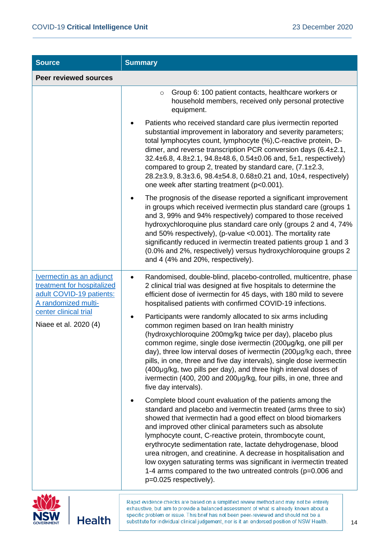| <b>Source</b>                                                                                                    | <b>Summary</b>                                                                                                                                                                                                                                                                                                                                                                                                                                                                                                                                                                                                            |  |  |  |  |
|------------------------------------------------------------------------------------------------------------------|---------------------------------------------------------------------------------------------------------------------------------------------------------------------------------------------------------------------------------------------------------------------------------------------------------------------------------------------------------------------------------------------------------------------------------------------------------------------------------------------------------------------------------------------------------------------------------------------------------------------------|--|--|--|--|
| <b>Peer reviewed sources</b>                                                                                     |                                                                                                                                                                                                                                                                                                                                                                                                                                                                                                                                                                                                                           |  |  |  |  |
|                                                                                                                  | Group 6: 100 patient contacts, healthcare workers or<br>$\circ$<br>household members, received only personal protective<br>equipment.                                                                                                                                                                                                                                                                                                                                                                                                                                                                                     |  |  |  |  |
|                                                                                                                  | Patients who received standard care plus ivermectin reported<br>substantial improvement in laboratory and severity parameters;<br>total lymphocytes count, lymphocyte (%), C-reactive protein, D-<br>dimer, and reverse transcription PCR conversion days $(6.4 \pm 2.1, 1.1)$<br>32.4±6.8, 4.8±2.1, 94.8±48.6, 0.54±0.06 and, 5±1, respectively)<br>compared to group 2, treated by standard care, (7.1±2.3,<br>28.2±3.9, 8.3±3.6, 98.4±54.8, 0.68±0.21 and, 10±4, respectively)<br>one week after starting treatment (p<0.001).                                                                                         |  |  |  |  |
|                                                                                                                  | The prognosis of the disease reported a significant improvement<br>in groups which received ivermectin plus standard care (groups 1<br>and 3, 99% and 94% respectively) compared to those received<br>hydroxychloroquine plus standard care only (groups 2 and 4, 74%<br>and 50% respectively), (p-value < 0.001). The mortality rate<br>significantly reduced in ivermectin treated patients group 1 and 3<br>(0.0% and 2%, respectively) versus hydroxychloroquine groups 2<br>and 4 (4% and 20%, respectively).                                                                                                        |  |  |  |  |
| <b>Ivermectin as an adjunct</b><br>treatment for hospitalized<br>adult COVID-19 patients:<br>A randomized multi- | Randomised, double-blind, placebo-controlled, multicentre, phase<br>٠<br>2 clinical trial was designed at five hospitals to determine the<br>efficient dose of ivermectin for 45 days, with 180 mild to severe<br>hospitalised patients with confirmed COVID-19 infections.                                                                                                                                                                                                                                                                                                                                               |  |  |  |  |
| center clinical trial<br>Niaee et al. 2020 (4)                                                                   | Participants were randomly allocated to six arms including<br>common regimen based on Iran health ministry<br>(hydroxychloroquine 200mg/kg twice per day), placebo plus<br>common regime, single dose ivermectin (200µg/kg, one pill per<br>day), three low interval doses of ivermectin (200µg/kg each, three<br>pills, in one, three and five day intervals), single dose ivermectin<br>(400µg/kg, two pills per day), and three high interval doses of<br>ivermectin (400, 200 and 200µg/kg, four pills, in one, three and<br>five day intervals).                                                                     |  |  |  |  |
|                                                                                                                  | Complete blood count evaluation of the patients among the<br>standard and placebo and ivermectin treated (arms three to six)<br>showed that ivermectin had a good effect on blood biomarkers<br>and improved other clinical parameters such as absolute<br>lymphocyte count, C-reactive protein, thrombocyte count,<br>erythrocyte sedimentation rate, lactate dehydrogenase, blood<br>urea nitrogen, and creatinine. A decrease in hospitalisation and<br>low oxygen saturating terms was significant in ivermectin treated<br>1-4 arms compared to the two untreated controls ( $p=0.006$ and<br>p=0.025 respectively). |  |  |  |  |

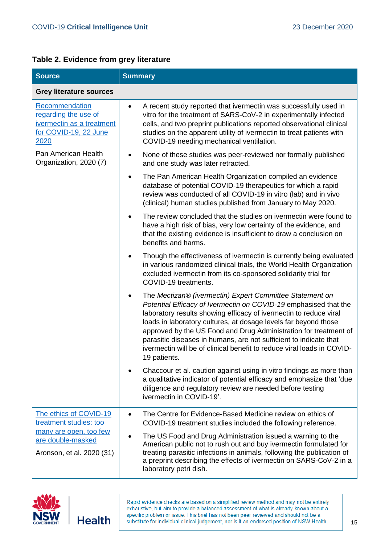|  |  |  |  | Table 2. Evidence from grey literature |
|--|--|--|--|----------------------------------------|
|--|--|--|--|----------------------------------------|

| <b>Source</b>                                                                                                                | <b>Summary</b>                                                                                                                                                                                                                                                                                                                                                                                                                                                                                               |  |  |  |
|------------------------------------------------------------------------------------------------------------------------------|--------------------------------------------------------------------------------------------------------------------------------------------------------------------------------------------------------------------------------------------------------------------------------------------------------------------------------------------------------------------------------------------------------------------------------------------------------------------------------------------------------------|--|--|--|
| <b>Grey literature sources</b>                                                                                               |                                                                                                                                                                                                                                                                                                                                                                                                                                                                                                              |  |  |  |
| Recommendation<br>regarding the use of<br>ivermectin as a treatment<br>for COVID-19, 22 June<br>2020                         | A recent study reported that ivermectin was successfully used in<br>$\bullet$<br>vitro for the treatment of SARS-CoV-2 in experimentally infected<br>cells, and two preprint publications reported observational clinical<br>studies on the apparent utility of ivermectin to treat patients with<br>COVID-19 needing mechanical ventilation.                                                                                                                                                                |  |  |  |
| Pan American Health<br>Organization, 2020 (7)                                                                                | None of these studies was peer-reviewed nor formally published<br>٠<br>and one study was later retracted.                                                                                                                                                                                                                                                                                                                                                                                                    |  |  |  |
|                                                                                                                              | The Pan American Health Organization compiled an evidence<br>$\bullet$<br>database of potential COVID-19 therapeutics for which a rapid<br>review was conducted of all COVID-19 in vitro (lab) and in vivo<br>(clinical) human studies published from January to May 2020.                                                                                                                                                                                                                                   |  |  |  |
|                                                                                                                              | The review concluded that the studies on ivermectin were found to<br>have a high risk of bias, very low certainty of the evidence, and<br>that the existing evidence is insufficient to draw a conclusion on<br>benefits and harms.                                                                                                                                                                                                                                                                          |  |  |  |
|                                                                                                                              | Though the effectiveness of ivermectin is currently being evaluated<br>in various randomized clinical trials, the World Health Organization<br>excluded ivermectin from its co-sponsored solidarity trial for<br>COVID-19 treatments.                                                                                                                                                                                                                                                                        |  |  |  |
|                                                                                                                              | The Mectizan® (ivermectin) Expert Committee Statement on<br>٠<br>Potential Efficacy of Ivermectin on COVID-19 emphasised that the<br>laboratory results showing efficacy of ivermectin to reduce viral<br>loads in laboratory cultures, at dosage levels far beyond those<br>approved by the US Food and Drug Administration for treatment of<br>parasitic diseases in humans, are not sufficient to indicate that<br>ivermectin will be of clinical benefit to reduce viral loads in COVID-<br>19 patients. |  |  |  |
|                                                                                                                              | Chaccour et al. caution against using in vitro findings as more than<br>a qualitative indicator of potential efficacy and emphasize that 'due<br>diligence and regulatory review are needed before testing<br>ivermectin in COVID-19'.                                                                                                                                                                                                                                                                       |  |  |  |
| The ethics of COVID-19<br>treatment studies: too<br>many are open, too few<br>are double-masked<br>Aronson, et al. 2020 (31) | The Centre for Evidence-Based Medicine review on ethics of<br>٠<br>COVID-19 treatment studies included the following reference.<br>The US Food and Drug Administration issued a warning to the<br>American public not to rush out and buy ivermectin formulated for<br>treating parasitic infections in animals, following the publication of<br>a preprint describing the effects of ivermectin on SARS-CoV-2 in a<br>laboratory petri dish.                                                                |  |  |  |

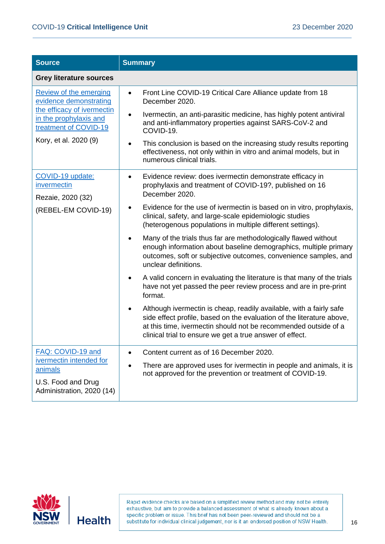| <b>Source</b>                                                                         | <b>Summary</b>                                                                                                                                                                                                                                                              |  |
|---------------------------------------------------------------------------------------|-----------------------------------------------------------------------------------------------------------------------------------------------------------------------------------------------------------------------------------------------------------------------------|--|
| <b>Grey literature sources</b>                                                        |                                                                                                                                                                                                                                                                             |  |
| <b>Review of the emerging</b><br>evidence demonstrating<br>the efficacy of ivermectin | Front Line COVID-19 Critical Care Alliance update from 18<br>$\bullet$<br>December 2020.                                                                                                                                                                                    |  |
| in the prophylaxis and<br>treatment of COVID-19                                       | Ivermectin, an anti-parasitic medicine, has highly potent antiviral<br>and anti-inflammatory properties against SARS-CoV-2 and<br>COVID-19.                                                                                                                                 |  |
| Kory, et al. 2020 (9)                                                                 | This conclusion is based on the increasing study results reporting<br>effectiveness, not only within in vitro and animal models, but in<br>numerous clinical trials.                                                                                                        |  |
| COVID-19 update:<br>invermectin<br>Rezaie, 2020 (32)                                  | Evidence review: does ivermectin demonstrate efficacy in<br>٠<br>prophylaxis and treatment of COVID-19?, published on 16<br>December 2020.                                                                                                                                  |  |
| (REBEL-EM COVID-19)                                                                   | Evidence for the use of ivermectin is based on in vitro, prophylaxis,<br>clinical, safety, and large-scale epidemiologic studies<br>(heterogenous populations in multiple different settings).                                                                              |  |
|                                                                                       | Many of the trials thus far are methodologically flawed without<br>enough information about baseline demographics, multiple primary<br>outcomes, soft or subjective outcomes, convenience samples, and<br>unclear definitions.                                              |  |
|                                                                                       | A valid concern in evaluating the literature is that many of the trials<br>have not yet passed the peer review process and are in pre-print<br>format.                                                                                                                      |  |
|                                                                                       | Although ivermectin is cheap, readily available, with a fairly safe<br>side effect profile, based on the evaluation of the literature above,<br>at this time, ivermectin should not be recommended outside of a<br>clinical trial to ensure we get a true answer of effect. |  |
| FAQ: COVID-19 and                                                                     | Content current as of 16 December 2020.                                                                                                                                                                                                                                     |  |
| ivermectin intended for<br>animals                                                    | There are approved uses for ivermectin in people and animals, it is<br>٠<br>not approved for the prevention or treatment of COVID-19.                                                                                                                                       |  |
| U.S. Food and Drug<br>Administration, 2020 (14)                                       |                                                                                                                                                                                                                                                                             |  |

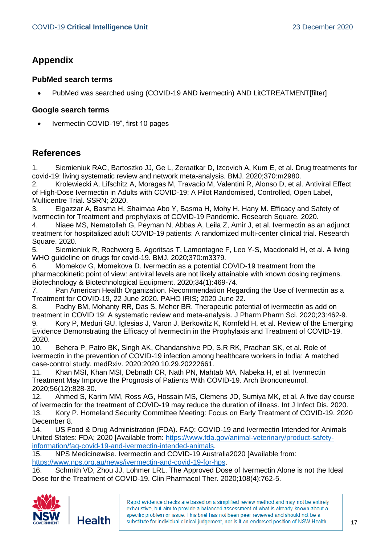#### **Appendix**

#### **PubMed search terms**

• PubMed was searched using (COVID-19 AND ivermectin) AND LitCTREATMENT[filter]

#### **Google search terms**

• Ivermectin COVID-19", first 10 pages

#### **References**

1. Siemieniuk RAC, Bartoszko JJ, Ge L, Zeraatkar D, Izcovich A, Kum E, et al. Drug treatments for covid-19: living systematic review and network meta-analysis. BMJ. 2020;370:m2980.

2. Krolewiecki A, Lifschitz A, Moragas M, Travacio M, Valentini R, Alonso D, et al. Antiviral Effect of High-Dose Ivermectin in Adults with COVID-19: A Pilot Randomised, Controlled, Open Label, Multicentre Trial. SSRN; 2020.

3. Elgazzar A, Basma H, Shaimaa Abo Y, Basma H, Mohy H, Hany M. Efficacy and Safety of Ivermectin for Treatment and prophylaxis of COVID-19 Pandemic. Research Square. 2020.

4. Niaee MS, Nematollah G, Peyman N, Abbas A, Leila Z, Amir J, et al. Ivermectin as an adjunct treatment for hospitalized adult COVID-19 patients: A randomized multi-center clinical trial. Research Square. 2020.

5. Siemieniuk R, Rochwerg B, Agoritsas T, Lamontagne F, Leo Y-S, Macdonald H, et al. A living WHO guideline on drugs for covid-19. BMJ. 2020;370:m3379.

6. Momekov G, Momekova D. Ivermectin as a potential COVID-19 treatment from the pharmacokinetic point of view: antiviral levels are not likely attainable with known dosing regimens. Biotechnology & Biotechnological Equipment. 2020;34(1):469-74.

7. Pan American Health Organization. Recommendation Regarding the Use of Ivermectin as a Treatment for COVID-19, 22 June 2020. PAHO IRIS; 2020 June 22.

8. Padhy BM, Mohanty RR, Das S, Meher BR. Therapeutic potential of ivermectin as add on treatment in COVID 19: A systematic review and meta-analysis. J Pharm Pharm Sci. 2020;23:462-9.

9. Kory P, Meduri GU, Iglesias J, Varon J, Berkowitz K, Kornfeld H, et al. Review of the Emerging Evidence Demonstrating the Efficacy of Ivermectin in the Prophylaxis and Treatment of COVID-19. 2020.

10. Behera P, Patro BK, Singh AK, Chandanshive PD, S.R RK, Pradhan SK, et al. Role of ivermectin in the prevention of COVID-19 infection among healthcare workers in India: A matched case-control study. medRxiv. 2020:2020.10.29.20222661.

11. Khan MSI, Khan MSI, Debnath CR, Nath PN, Mahtab MA, Nabeka H, et al. Ivermectin Treatment May Improve the Prognosis of Patients With COVID-19. Arch Bronconeumol. 2020;56(12):828-30.

12. Ahmed S, Karim MM, Ross AG, Hossain MS, Clemens JD, Sumiya MK, et al. A five day course of ivermectin for the treatment of COVID-19 may reduce the duration of illness. Int J Infect Dis. 2020. 13. Kory P. Homeland Security Committee Meeting: Focus on Early Treatment of COVID-19. 2020 December 8.

14. US Food & Drug Administration (FDA). FAQ: COVID-19 and Ivermectin Intended for Animals United States: FDA; 2020 [Available from: [https://www.fda.gov/animal-veterinary/product-safety](https://www.fda.gov/animal-veterinary/product-safety-information/faq-covid-19-and-ivermectin-intended-animals)[information/faq-covid-19-and-ivermectin-intended-animals.](https://www.fda.gov/animal-veterinary/product-safety-information/faq-covid-19-and-ivermectin-intended-animals)

15. NPS Medicinewise. Ivermectin and COVID-19 Australia2020 [Available from:

[https://www.nps.org.au/news/ivermectin-and-covid-19-for-hps.](https://www.nps.org.au/news/ivermectin-and-covid-19-for-hps)

16. Schmith VD, Zhou JJ, Lohmer LRL. The Approved Dose of Ivermectin Alone is not the Ideal Dose for the Treatment of COVID-19. Clin Pharmacol Ther. 2020;108(4):762-5.